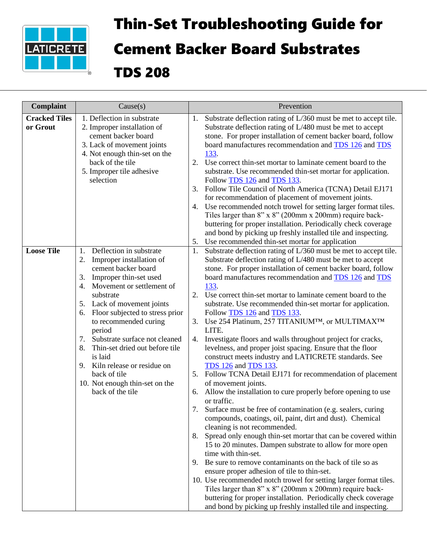

## Thin-Set Troubleshooting Guide for Cement Backer Board Substrates

TDS 208

| Complaint                        | Cause(s)                                                                                                                                                                                                                                                                                                                                                                                                                                                                    | Prevention                                                                                                                                                                                                                                                                                                                                                                                                                                                                                                                                                                                                                                                                                                                                                                                                                                                                                                                                                                                                                                                                                                                                                                                                                                                                                                                                                                                                                                                                                                                                                                                                                                                                                             |
|----------------------------------|-----------------------------------------------------------------------------------------------------------------------------------------------------------------------------------------------------------------------------------------------------------------------------------------------------------------------------------------------------------------------------------------------------------------------------------------------------------------------------|--------------------------------------------------------------------------------------------------------------------------------------------------------------------------------------------------------------------------------------------------------------------------------------------------------------------------------------------------------------------------------------------------------------------------------------------------------------------------------------------------------------------------------------------------------------------------------------------------------------------------------------------------------------------------------------------------------------------------------------------------------------------------------------------------------------------------------------------------------------------------------------------------------------------------------------------------------------------------------------------------------------------------------------------------------------------------------------------------------------------------------------------------------------------------------------------------------------------------------------------------------------------------------------------------------------------------------------------------------------------------------------------------------------------------------------------------------------------------------------------------------------------------------------------------------------------------------------------------------------------------------------------------------------------------------------------------------|
| <b>Cracked Tiles</b><br>or Grout | $\overline{1.}$ Deflection in substrate<br>2. Improper installation of<br>cement backer board<br>3. Lack of movement joints<br>4. Not enough thin-set on the<br>back of the tile<br>5. Improper tile adhesive<br>selection                                                                                                                                                                                                                                                  | Substrate deflection rating of L/360 must be met to accept tile.<br>1.<br>Substrate deflection rating of L/480 must be met to accept<br>stone. For proper installation of cement backer board, follow<br>board manufactures recommendation and <b>TDS</b> 126 and <b>TDS</b><br>133.<br>2. Use correct thin-set mortar to laminate cement board to the<br>substrate. Use recommended thin-set mortar for application.<br>Follow TDS 126 and TDS 133.<br>Follow Tile Council of North America (TCNA) Detail EJ171<br>3.<br>for recommendation of placement of movement joints.<br>4. Use recommended notch trowel for setting larger format tiles.<br>Tiles larger than 8" x 8" (200mm x 200mm) require back-                                                                                                                                                                                                                                                                                                                                                                                                                                                                                                                                                                                                                                                                                                                                                                                                                                                                                                                                                                                           |
|                                  |                                                                                                                                                                                                                                                                                                                                                                                                                                                                             | buttering for proper installation. Periodically check coverage<br>and bond by picking up freshly installed tile and inspecting.                                                                                                                                                                                                                                                                                                                                                                                                                                                                                                                                                                                                                                                                                                                                                                                                                                                                                                                                                                                                                                                                                                                                                                                                                                                                                                                                                                                                                                                                                                                                                                        |
| <b>Loose Tile</b>                | Deflection in substrate<br>1.<br>Improper installation of<br>2.<br>cement backer board<br>Improper thin-set used<br>3.<br>Movement or settlement of<br>4.<br>substrate<br>5. Lack of movement joints<br>Floor subjected to stress prior<br>6.<br>to recommended curing<br>period<br>7. Substrate surface not cleaned<br>8. Thin-set dried out before tile<br>is laid<br>9. Kiln release or residue on<br>back of tile<br>10. Not enough thin-set on the<br>back of the tile | Use recommended thin-set mortar for application<br>5.<br>Substrate deflection rating of L/360 must be met to accept tile.<br>1.<br>Substrate deflection rating of L/480 must be met to accept<br>stone. For proper installation of cement backer board, follow<br>board manufactures recommendation and TDS 126 and TDS<br>133.<br>Use correct thin-set mortar to laminate cement board to the<br>2.<br>substrate. Use recommended thin-set mortar for application.<br>Follow TDS 126 and TDS 133.<br>Use 254 Platinum, 257 TITANIUMTM, or MULTIMAXTM<br>3.<br>LITE.<br>Investigate floors and walls throughout project for cracks,<br>4.<br>levelness, and proper joist spacing. Ensure that the floor<br>construct meets industry and LATICRETE standards. See<br><b>TDS</b> 126 and <b>TDS</b> 133.<br>Follow TCNA Detail EJ171 for recommendation of placement<br>5.<br>of movement joints.<br>Allow the installation to cure properly before opening to use<br>6.<br>or traffic.<br>7.<br>Surface must be free of contamination (e.g. sealers, curing<br>compounds, coatings, oil, paint, dirt and dust). Chemical<br>cleaning is not recommended.<br>Spread only enough thin-set mortar that can be covered within<br>8.<br>15 to 20 minutes. Dampen substrate to allow for more open<br>time with thin-set.<br>Be sure to remove contaminants on the back of tile so as<br>9.<br>ensure proper adhesion of tile to thin-set.<br>10. Use recommended notch trowel for setting larger format tiles.<br>Tiles larger than 8" x 8" (200mm x 200mm) require back-<br>buttering for proper installation. Periodically check coverage<br>and bond by picking up freshly installed tile and inspecting. |